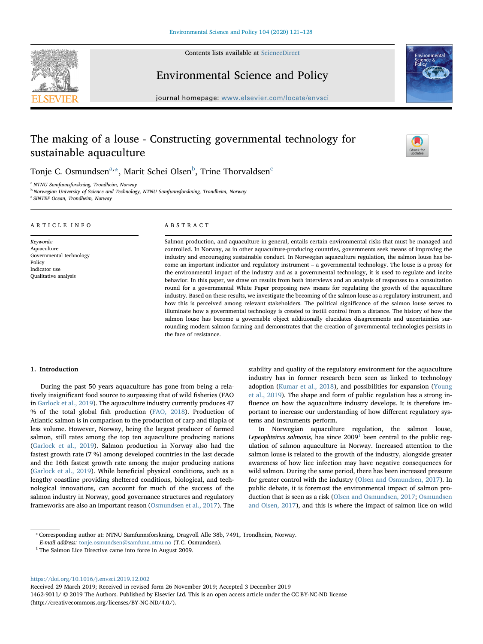

Contents lists available at [ScienceDirect](http://www.sciencedirect.com/science/journal/14629011)

Environmental Science and Policy



# The making of a louse - Constructing governmental technology for sustainable aquaculture

the face of resistance.



Tonje C. Osmundsen $\mathrm{^{a,\star}}$  $\mathrm{^{a,\star}}$  $\mathrm{^{a,\star}}$ , Marit S[c](#page-0-3)hei Olsen $\mathrm{^{b}}$  $\mathrm{^{b}}$  $\mathrm{^{b}}$ , Trine Thorvaldsen $\mathrm{^{c}}$ 

<span id="page-0-0"></span>a NTNU Samfunnsforskning, Trondheim, Norway

<span id="page-0-2"></span><sup>b</sup> Norwegian University of Science and Technology, NTNU Samfunnsforskning, Trondheim, Norway

<span id="page-0-3"></span><sup>c</sup> SINTEF Ocean, Trondheim, Norway

| ARTICLE INFO                                                                                           | ABSTRACT                                                                                                                                                                                                                                                                                                                                                                                                                                                                                                                                                                                                                                                                                                                                                                                                                                                                                                                                                                                                                                                                                                                                                                                                                                                                                                                                                                               |
|--------------------------------------------------------------------------------------------------------|----------------------------------------------------------------------------------------------------------------------------------------------------------------------------------------------------------------------------------------------------------------------------------------------------------------------------------------------------------------------------------------------------------------------------------------------------------------------------------------------------------------------------------------------------------------------------------------------------------------------------------------------------------------------------------------------------------------------------------------------------------------------------------------------------------------------------------------------------------------------------------------------------------------------------------------------------------------------------------------------------------------------------------------------------------------------------------------------------------------------------------------------------------------------------------------------------------------------------------------------------------------------------------------------------------------------------------------------------------------------------------------|
| Keywords:<br>Aquaculture<br>Governmental technology<br>Policy<br>Indicator use<br>Qualitative analysis | Salmon production, and aquaculture in general, entails certain environmental risks that must be managed and<br>controlled. In Norway, as in other aquaculture-producing countries, governments seek means of improving the<br>industry and encouraging sustainable conduct. In Norwegian aquaculture regulation, the salmon louse has be-<br>come an important indicator and regulatory instrument $-$ a governmental technology. The louse is a proxy for<br>the environmental impact of the industry and as a governmental technology, it is used to regulate and incite<br>behavior. In this paper, we draw on results from both interviews and an analysis of responses to a consultation<br>round for a governmental White Paper proposing new means for regulating the growth of the aquaculture<br>industry. Based on these results, we investigate the becoming of the salmon louse as a regulatory instrument, and<br>how this is perceived among relevant stakeholders. The political significance of the salmon louse serves to<br>illuminate how a governmental technology is created to instill control from a distance. The history of how the<br>salmon louse has become a governable object additionally elucidates disagreements and uncertainties sur-<br>rounding modern salmon farming and demonstrates that the creation of governmental technologies persists in |

#### 1. Introduction

During the past 50 years aquaculture has gone from being a relatively insignificant food source to surpassing that of wild fisheries (FAO in [Garlock et al., 2019\)](#page-7-0). The aquaculture industry currently produces 47 % of the total global fish production ([FAO, 2018](#page-7-1)). Production of Atlantic salmon is in comparison to the production of carp and tilapia of less volume. However, Norway, being the largest producer of farmed salmon, still rates among the top ten aquaculture producing nations ([Garlock et al., 2019](#page-7-0)). Salmon production in Norway also had the fastest growth rate (7 %) among developed countries in the last decade and the 16th fastest growth rate among the major producing nations ([Garlock et al., 2019](#page-7-0)). While beneficial physical conditions, such as a lengthy coastline providing sheltered conditions, biological, and technological innovations, can account for much of the success of the salmon industry in Norway, good governance structures and regulatory frameworks are also an important reason ([Osmundsen et al., 2017](#page-7-2)). The stability and quality of the regulatory environment for the aquaculture industry has in former research been seen as linked to technology adoption ([Kumar et al., 2018\)](#page-7-3), and possibilities for expansion [\(Young](#page-7-4) [et al., 2019](#page-7-4)). The shape and form of public regulation has a strong influence on how the aquaculture industry develops. It is therefore important to increase our understanding of how different regulatory systems and instruments perform.

In Norwegian aquaculture regulation, the salmon louse, Lepeophteirus salmonis, has since  $2009<sup>1</sup>$  $2009<sup>1</sup>$  $2009<sup>1</sup>$  been central to the public regulation of salmon aquaculture in Norway. Increased attention to the salmon louse is related to the growth of the industry, alongside greater awareness of how lice infection may have negative consequences for wild salmon. During the same period, there has been increased pressure for greater control with the industry [\(Olsen and Osmundsen, 2017\)](#page-7-5). In public debate, it is foremost the environmental impact of salmon production that is seen as a risk ([Olsen and Osmundsen, 2017](#page-7-5); [Osmundsen](#page-7-6) [and Olsen, 2017](#page-7-6)), and this is where the impact of salmon lice on wild

<https://doi.org/10.1016/j.envsci.2019.12.002>

Received 29 March 2019; Received in revised form 26 November 2019; Accepted 3 December 2019

1462-9011/ © 2019 The Authors. Published by Elsevier Ltd. This is an open access article under the CC BY-NC-ND license (http://creativecommons.org/licenses/BY-NC-ND/4.0/).

<span id="page-0-1"></span><sup>⁎</sup> Corresponding author at: NTNU Samfunnsforskning, Dragvoll Alle 38b, 7491, Trondheim, Norway.

E-mail address: [tonje.osmundsen@samfunn.ntnu.no](mailto:tonje.osmundsen@samfunn.ntnu.no) (T.C. Osmundsen).

<span id="page-0-4"></span><sup>&</sup>lt;sup>1</sup> The Salmon Lice Directive came into force in August 2009.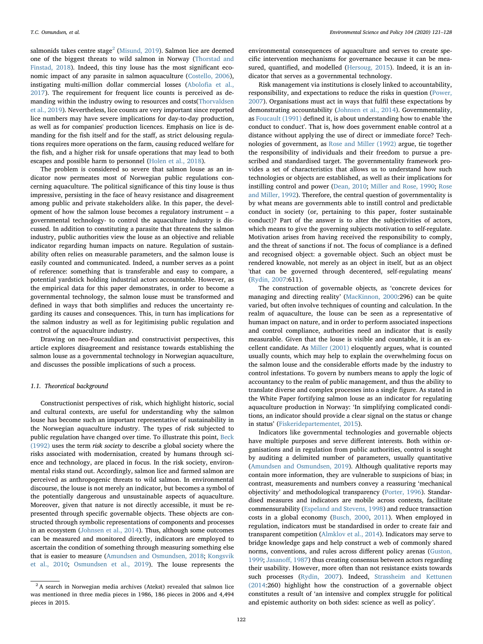salmonids takes centre stage<sup>[2](#page-1-0)</sup> [\(Misund, 2019](#page-7-7)). Salmon lice are deemed one of the biggest threats to wild salmon in Norway ([Thorstad and](#page-7-8) [Finstad, 2018](#page-7-8)). Indeed, this tiny louse has the most significant economic impact of any parasite in salmon aquaculture [\(Costello, 2006](#page-7-9)), instigating multi-million dollar commercial losses (Abolofi[a et al.,](#page-6-0) [2017\)](#page-6-0). The requirement for frequent lice counts is perceived as demanding within the industry owing to resources and costs[\(Thorvaldsen](#page-7-10) [et al., 2019\)](#page-7-10). Nevertheless, lice counts are very important since reported lice numbers may have severe implications for day-to-day production, as well as for companies' production licences. Emphasis on lice is demanding for the fish itself and for the staff, as strict delousing regulations requires more operations on the farm, causing reduced welfare for the fish, and a higher risk for unsafe operations that may lead to both escapes and possible harm to personnel [\(Holen et al., 2018\)](#page-7-11).

The problem is considered so severe that salmon louse as an indicator now permeates most of Norwegian public regulations concerning aquaculture. The political significance of this tiny louse is thus impressive, persisting in the face of heavy resistance and disagreement among public and private stakeholders alike. In this paper, the development of how the salmon louse becomes a regulatory instrument – a governmental technology- to control the aquaculture industry is discussed. In addition to constituting a parasite that threatens the salmon industry, public authorities view the louse as an objective and reliable indicator regarding human impacts on nature. Regulation of sustainability often relies on measurable parameters, and the salmon louse is easily counted and communicated. Indeed, a number serves as a point of reference: something that is transferable and easy to compare, a potential yardstick holding industrial actors accountable. However, as the empirical data for this paper demonstrates, in order to become a governmental technology, the salmon louse must be transformed and defined in ways that both simplifies and reduces the uncertainty regarding its causes and consequences. This, in turn has implications for the salmon industry as well as for legitimising public regulation and control of the aquaculture industry.

Drawing on neo-Foucauldian and constructivist perspectives, this article explores disagreement and resistance towards establishing the salmon louse as a governmental technology in Norwegian aquaculture, and discusses the possible implications of such a process.

#### 1.1. Theoretical background

Constructionist perspectives of risk, which highlight historic, social and cultural contexts, are useful for understanding why the salmon louse has become such an important representative of sustainability in the Norwegian aquaculture industry. The types of risk subjected to public regulation have changed over time. To illustrate this point, [Beck](#page-6-1) [\(1992\)](#page-6-1) uses the term risk society to describe a global society where the risks associated with modernisation, created by humans through science and technology, are placed in focus. In the risk society, environmental risks stand out. Accordingly, salmon lice and farmed salmon are perceived as anthropogenic threats to wild salmon. In environmental discourse, the louse is not merely an indicator, but becomes a symbol of the potentially dangerous and unsustainable aspects of aquaculture. Moreover, given that nature is not directly accessible, it must be represented through specific governable objects. These objects are constructed through symbolic representations of components and processes in an ecosystem [\(Johnsen et al., 2014](#page-7-12)). Thus, although some outcomes can be measured and monitored directly, indicators are employed to ascertain the condition of something through measuring something else that is easier to measure [\(Amundsen and Osmundsen, 2018](#page-6-2); [Kongsvik](#page-7-13) [et al., 2010;](#page-7-13) [Osmundsen et al., 2019](#page-7-14)). The louse represents the

environmental consequences of aquaculture and serves to create specific intervention mechanisms for governance because it can be measured, quantified, and modelled [\(Hersoug, 2015\)](#page-7-15). Indeed, it is an indicator that serves as a governmental technology.

Risk management via institutions is closely linked to accountability, responsibility, and expectations to reduce the risks in question [\(Power,](#page-7-16) [2007\)](#page-7-16). Organisations must act in ways that fulfil these expectations by demonstrating accountability ([Johnsen et al., 2014](#page-7-12)). Governmentality, as [Foucault \(1991\)](#page-7-17) defined it, is about understanding how to enable 'the conduct to conduct'. That is, how does government enable control at a distance without applying the use of direct or immediate force? Technologies of government, as [Rose and Miller \(1992\)](#page-7-18) argue, tie together the responsibility of individuals and their freedom to pursue a prescribed and standardised target. The governmentality framework provides a set of characteristics that allows us to understand how such technologies or objects are established, as well as their implications for instilling control and power ([Dean, 2010](#page-7-19); [Miller and Rose, 1990](#page-7-20); [Rose](#page-7-18) [and Miller, 1992](#page-7-18)). Therefore, the central question of governmentality is by what means are governments able to instill control and predictable conduct in society (or, pertaining to this paper, foster sustainable conduct)? Part of the answer is to alter the subjectivities of actors, which means to give the governing subjects motivation to self-regulate. Motivation arises from having received the responsibility to comply, and the threat of sanctions if not. The focus of compliance is a defined and recognised object: a governable object. Such an object must be rendered knowable, not merely as an object in itself, but as an object 'that can be governed through decentered, self-regulating means' ([Rydin, 2007](#page-7-21):611).

The construction of governable objects, as 'concrete devices for managing and directing reality' ([MacKinnon, 2000:](#page-7-22)296) can be quite varied, but often involve techniques of counting and calculation. In the realm of aquaculture, the louse can be seen as a representative of human impact on nature, and in order to perform associated inspections and control compliance, authorities need an indicator that is easily measurable. Given that the louse is visible and countable, it is an excellent candidate. As [Miller \(2001\)](#page-7-23) eloquently argues, what is counted usually counts, which may help to explain the overwhelming focus on the salmon louse and the considerable efforts made by the industry to control infestations. To govern by numbers means to apply the logic of accountancy to the realm of public management, and thus the ability to translate diverse and complex processes into a single figure. As stated in the White Paper fortifying salmon louse as an indicator for regulating aquaculture production in Norway: 'In simplifying complicated conditions, an indicator should provide a clear signal on the status or change in status' [\(Fiskeridepartementet, 2015\)](#page-7-24).

Indicators like governmental technologies and governable objects have multiple purposes and serve different interests. Both within organisations and in regulation from public authorities, control is sought by auditing a delimited number of parameters, usually quantitative ([Amundsen and Osmundsen, 2019](#page-6-3)). Although qualitative reports may contain more information, they are vulnerable to suspicions of bias; in contrast, measurements and numbers convey a reassuring 'mechanical objectivity' and methodological transparency ([Porter, 1996\)](#page-7-25). Standardised measures and indicators are mobile across contexts, facilitate commensurability [\(Espeland and Stevens, 1998\)](#page-7-26) and reduce transaction costs in a global economy [\(Busch, 2000](#page-6-4), [2011](#page-6-5)). When employed in regulation, indicators must be standardised in order to create fair and transparent competition ([Almklov et al., 2014](#page-6-6)). Indicators may serve to bridge knowledge gaps and help construct a web of commonly shared norms, conventions, and rules across different policy arenas ([Guston,](#page-7-27) [1999;](#page-7-27) [Jasano](#page-7-28)ff, 1987) thus creating consensus between actors regarding their usability. However, more often than not resistance exists towards such processes [\(Rydin, 2007](#page-7-21)). Indeed, [Strassheim and Kettunen](#page-7-29) [\(2014:](#page-7-29)260) highlight how the construction of a governable object constitutes a result of 'an intensive and complex struggle for political and epistemic authority on both sides: science as well as policy'.

<span id="page-1-0"></span> $2A$  search in Norwegian media archives (Atekst) revealed that salmon lice was mentioned in three media pieces in 1986, 186 pieces in 2006 and 4,494 pieces in 2015.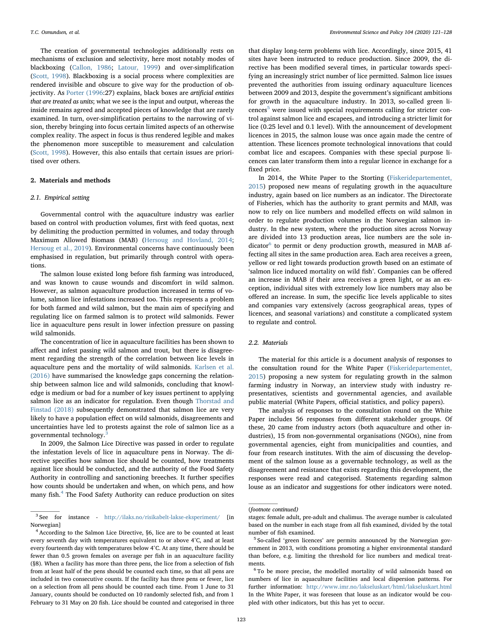The creation of governmental technologies additionally rests on mechanisms of exclusion and selectivity, here most notably modes of blackboxing [\(Callon, 1986;](#page-7-30) [Latour, 1999\)](#page-7-31) and over-simplification ([Scott, 1998\)](#page-7-32). Blackboxing is a social process where complexities are rendered invisible and obscure to give way for the production of objectivity. As [Porter \(1996](#page-7-25):27) explains, black boxes are artificial entities that are treated as units; what we see is the input and output, whereas the inside remains agreed and accepted pieces of knowledge that are rarely examined. In turn, over-simplification pertains to the narrowing of vision, thereby bringing into focus certain limited aspects of an otherwise complex reality. The aspect in focus is thus rendered legible and makes the phenomenon more susceptible to measurement and calculation ([Scott, 1998](#page-7-32)). However, this also entails that certain issues are prioritised over others.

## 2. Materials and methods

## 2.1. Empirical setting

Governmental control with the aquaculture industry was earlier based on control with production volumes, first with feed quotas, next by delimiting the production permitted in volumes, and today through Maximum Allowed Biomass (MAB) [\(Hersoug and Hovland, 2014](#page-7-33); [Hersoug et al., 2019](#page-7-34)). Environmental concerns have continuously been emphasised in regulation, but primarily through control with operations.

The salmon louse existed long before fish farming was introduced, and was known to cause wounds and discomfort in wild salmon. However, as salmon aquaculture production increased in terms of volume, salmon lice infestations increased too. This represents a problem for both farmed and wild salmon, but the main aim of specifying and regulating lice on farmed salmon is to protect wild salmonids. Fewer lice in aquaculture pens result in lower infection pressure on passing wild salmonids.

The concentration of lice in aquaculture facilities has been shown to affect and infest passing wild salmon and trout, but there is disagreement regarding the strength of the correlation between lice levels in aquaculture pens and the mortality of wild salmonids. [Karlsen et al.](#page-7-35) [\(2016\)](#page-7-35) have summarised the knowledge gaps concerning the relationship between salmon lice and wild salmonids, concluding that knowledge is medium or bad for a number of key issues pertinent to applying salmon lice as an indicator for regulation. Even though [Thorstad and](#page-7-8) [Finstad \(2018\)](#page-7-8) subsequently demonstrated that salmon lice are very likely to have a population effect on wild salmonids, disagreements and uncertainties have led to protests against the role of salmon lice as a governmental technology.[3](#page-2-0)

In 2009, the Salmon Lice Directive was passed in order to regulate the infestation levels of lice in aquaculture pens in Norway. The directive specifies how salmon lice should be counted, how treatments against lice should be conducted, and the authority of the Food Safety Authority in controlling and sanctioning breeches. It further specifies how counts should be undertaken and when, on which pens, and how many fish.[4](#page-2-1) The Food Safety Authority can reduce production on sites

that display long-term problems with lice. Accordingly, since 2015, 41 sites have been instructed to reduce production. Since 2009, the directive has been modified several times, in particular towards specifying an increasingly strict number of lice permitted. Salmon lice issues prevented the authorities from issuing ordinary aquaculture licences between 2009 and 2013, despite the government's significant ambitions for growth in the aquaculture industry. In 2013, so-called green li-cences<sup>[5](#page-2-2)</sup> were issued with special requirements calling for stricter control against salmon lice and escapees, and introducing a stricter limit for lice (0.25 level and 0.1 level). With the announcement of development licences in 2015, the salmon louse was once again made the centre of attention. These licences promote technological innovations that could combat lice and escapees. Companies with these special purpose licences can later transform them into a regular licence in exchange for a fixed price.

In 2014, the White Paper to the Storting ([Fiskeridepartementet,](#page-7-24) [2015\)](#page-7-24) proposed new means of regulating growth in the aquaculture industry, again based on lice numbers as an indicator. The Directorate of Fisheries, which has the authority to grant permits and MAB, was now to rely on lice numbers and modelled effects on wild salmon in order to regulate production volumes in the Norwegian salmon industry. In the new system, where the production sites across Norway are divided into 13 production areas, lice numbers are the sole in-dicator<sup>[6](#page-2-3)</sup> to permit or deny production growth, measured in MAB affecting all sites in the same production area. Each area receives a green, yellow or red light towards production growth based on an estimate of 'salmon lice induced mortality on wild fish'. Companies can be offered an increase in MAB if their area receives a green light, or as an exception, individual sites with extremely low lice numbers may also be offered an increase. In sum, the specific lice levels applicable to sites and companies vary extensively (across geographical areas, types of licences, and seasonal variations) and constitute a complicated system to regulate and control.

#### 2.2. Materials

The material for this article is a document analysis of responses to the consultation round for the White Paper ([Fiskeridepartementet,](#page-7-24) [2015\)](#page-7-24) proposing a new system for regulating growth in the salmon farming industry in Norway, an interview study with industry representatives, scientists and governmental agencies, and available public material (White Papers, official statistics, and policy papers).

The analysis of responses to the consultation round on the White Paper includes 56 responses from different stakeholder groups. Of these, 20 came from industry actors (both aquaculture and other industries), 15 from non-governmental organisations (NGOs), nine from governmental agencies, eight from municipalities and counties, and four from research institutes. With the aim of discussing the development of the salmon louse as a governable technology, as well as the disagreement and resistance that exists regarding this development, the responses were read and categorised. Statements regarding salmon louse as an indicator and suggestions for other indicators were noted.

<span id="page-2-0"></span> $3$  See for instance - <http://ilaks.no/risikabelt-lakse-eksperiment/> Norwegian]

<span id="page-2-1"></span><sup>4</sup> According to the Salmon Lice Directive, §6, lice are to be counted at least every seventh day with temperatures equivalent to or above 4°C, and at least every fourteenth day with temperatures below 4°C. At any time, there should be fewer than 0.5 grown females on average per fish in an aquaculture facility (§8). When a facility has more than three pens, the lice from a selection of fish from at least half of the pens should be counted each time, so that all pens are included in two consecutive counts. If the facility has three pens or fewer, lice on a selection from all pens should be counted each time. From 1 June to 31 January, counts should be conducted on 10 randomly selected fish, and from 1 February to 31 May on 20 fish. Lice should be counted and categorised in three

<sup>(</sup>footnote continued)

stages: female adult, pre-adult and chalimus. The average number is calculated based on the number in each stage from all fish examined, divided by the total number of fish examined.

<span id="page-2-2"></span><sup>5</sup> So-called 'green licences' are permits announced by the Norwegian government in 2013, with conditions promoting a higher environmental standard than before, e.g. limiting the threshold for lice numbers and medical treatments.

<span id="page-2-3"></span><sup>6</sup> To be more precise, the modelled mortality of wild salmonids based on numbers of lice in aquaculture facilities and local dispersion patterns. For further information: <http://www.imr.no/lakseluskart/html/lakseluskart.html> In the White Paper, it was foreseen that louse as an indicator would be coupled with other indicators, but this has yet to occur.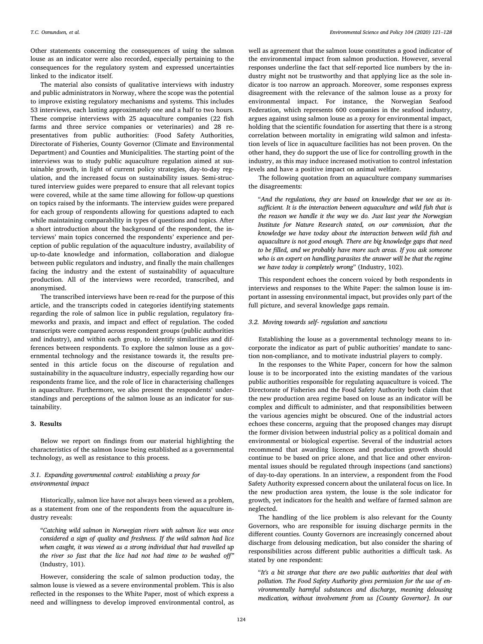Other statements concerning the consequences of using the salmon louse as an indicator were also recorded, especially pertaining to the consequences for the regulatory system and expressed uncertainties linked to the indicator itself.

The material also consists of qualitative interviews with industry and public administrators in Norway, where the scope was the potential to improve existing regulatory mechanisms and systems. This includes 53 interviews, each lasting approximately one and a half to two hours. These comprise interviews with 25 aquaculture companies (22 fish farms and three service companies or veterinaries) and 28 representatives from public authorities: (Food Safety Authorities, Directorate of Fisheries, County Governor (Climate and Environmental Department) and Counties and Municipalities. The starting point of the interviews was to study public aquaculture regulation aimed at sustainable growth, in light of current policy strategies, day-to-day regulation, and the increased focus on sustainability issues. Semi-structured interview guides were prepared to ensure that all relevant topics were covered, while at the same time allowing for follow-up questions on topics raised by the informants. The interview guides were prepared for each group of respondents allowing for questions adapted to each while maintaining comparability in types of questions and topics. After a short introduction about the background of the respondent, the interviews' main topics concerned the respondents' experience and perception of public regulation of the aquaculture industry, availability of up-to-date knowledge and information, collaboration and dialogue between public regulators and industry, and finally the main challenges facing the industry and the extent of sustainability of aquaculture production. All of the interviews were recorded, transcribed, and anonymised.

The transcribed interviews have been re-read for the purpose of this article, and the transcripts coded in categories identifying statements regarding the role of salmon lice in public regulation, regulatory frameworks and praxis, and impact and effect of regulation. The coded transcripts were compared across respondent groups (public authorities and industry), and within each group, to identify similarities and differences between respondents. To explore the salmon louse as a governmental technology and the resistance towards it, the results presented in this article focus on the discourse of regulation and sustainability in the aquaculture industry, especially regarding how our respondents frame lice, and the role of lice in characterising challenges in aquaculture. Furthermore, we also present the respondents' understandings and perceptions of the salmon louse as an indicator for sustainability.

#### 3. Results

Below we report on findings from our material highlighting the characteristics of the salmon louse being established as a governmental technology, as well as resistance to this process.

# 3.1. Expanding governmental control: establishing a proxy for environmental impact

Historically, salmon lice have not always been viewed as a problem, as a statement from one of the respondents from the aquaculture industry reveals:

"Catching wild salmon in Norwegian rivers with salmon lice was once considered a sign of quality and freshness. If the wild salmon had lice when caught, it was viewed as a strong individual that had travelled up the river so fast that the lice had not had time to be washed off" (Industry, 101).

However, considering the scale of salmon production today, the salmon louse is viewed as a severe environmental problem. This is also reflected in the responses to the White Paper, most of which express a need and willingness to develop improved environmental control, as

well as agreement that the salmon louse constitutes a good indicator of the environmental impact from salmon production. However, several responses underline the fact that self-reported lice numbers by the industry might not be trustworthy and that applying lice as the sole indicator is too narrow an approach. Moreover, some responses express disagreement with the relevance of the salmon louse as a proxy for environmental impact. For instance, the Norwegian Seafood Federation, which represents 600 companies in the seafood industry, argues against using salmon louse as a proxy for environmental impact, holding that the scientific foundation for asserting that there is a strong correlation between mortality in emigrating wild salmon and infestation levels of lice in aquaculture facilities has not been proven. On the other hand, they do support the use of lice for controlling growth in the industry, as this may induce increased motivation to control infestation levels and have a positive impact on animal welfare.

The following quotation from an aquaculture company summarises the disagreements:

"And the regulations, they are based on knowledge that we see as insufficient. It is the interaction between aquaculture and wild fish that is the reason we handle it the way we do. Just last year the Norwegian Institute for Nature Research stated, on our commission, that the knowledge we have today about the interaction between wild fish and aquaculture is not good enough. There are big knowledge gaps that need to be filled, and we probably have more such areas. If you ask someone who is an expert on handling parasites the answer will be that the regime we have today is completely wrong" (Industry, 102).

This respondent echoes the concern voiced by both respondents in interviews and responses to the White Paper: the salmon louse is important in assessing environmental impact, but provides only part of the full picture, and several knowledge gaps remain.

#### 3.2. Moving towards self- regulation and sanctions

Establishing the louse as a governmental technology means to incorporate the indicator as part of public authorities' mandate to sanction non-compliance, and to motivate industrial players to comply.

In the responses to the White Paper, concern for how the salmon louse is to be incorporated into the existing mandates of the various public authorities responsible for regulating aquaculture is voiced. The Directorate of Fisheries and the Food Safety Authority both claim that the new production area regime based on louse as an indicator will be complex and difficult to administer, and that responsibilities between the various agencies might be obscured. One of the industrial actors echoes these concerns, arguing that the proposed changes may disrupt the former division between industrial policy as a political domain and environmental or biological expertise. Several of the industrial actors recommend that awarding licences and production growth should continue to be based on price alone, and that lice and other environmental issues should be regulated through inspections (and sanctions) of day-to-day operations. In an interview, a respondent from the Food Safety Authority expressed concern about the unilateral focus on lice. In the new production area system, the louse is the sole indicator for growth, yet indicators for the health and welfare of farmed salmon are neglected.

The handling of the lice problem is also relevant for the County Governors, who are responsible for issuing discharge permits in the different counties. County Governors are increasingly concerned about discharge from delousing medication, but also consider the sharing of responsibilities across different public authorities a difficult task. As stated by one respondent:

"It's a bit strange that there are two public authorities that deal with pollution. The Food Safety Authority gives permission for the use of environmentally harmful substances and discharge, meaning delousing medication, without involvement from us [County Governor]. In our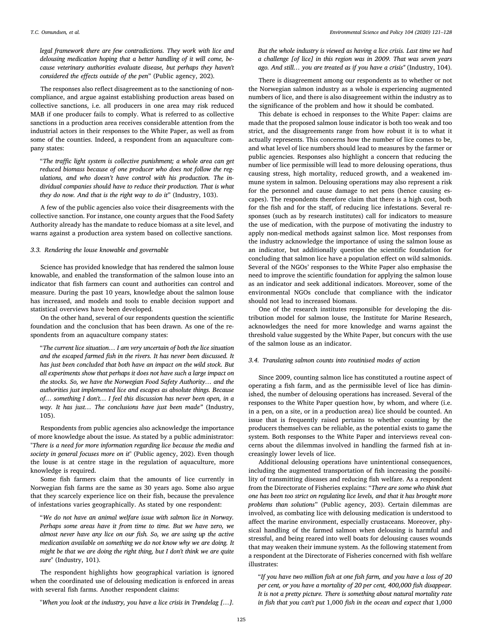legal framework there are few contradictions. They work with lice and delousing medication hoping that a better handling of it will come, because veterinary authorities evaluate disease, but perhaps they haven't considered the effects outside of the pen" (Public agency, 202).

The responses also reflect disagreement as to the sanctioning of noncompliance, and argue against establishing production areas based on collective sanctions, i.e. all producers in one area may risk reduced MAB if one producer fails to comply. What is referred to as collective sanctions in a production area receives considerable attention from the industrial actors in their responses to the White Paper, as well as from some of the counties. Indeed, a respondent from an aquaculture company states:

"The traffic light system is collective punishment; a whole area can get reduced biomass because of one producer who does not follow the regulations, and who doesn't have control with his production. The individual companies should have to reduce their production. That is what they do now. And that is the right way to do it" (Industry, 103).

A few of the public agencies also voice their disagreements with the collective sanction. For instance, one county argues that the Food Safety Authority already has the mandate to reduce biomass at a site level, and warns against a production area system based on collective sanctions.

#### 3.3. Rendering the louse knowable and governable

Science has provided knowledge that has rendered the salmon louse knowable, and enabled the transformation of the salmon louse into an indicator that fish farmers can count and authorities can control and measure. During the past 10 years, knowledge about the salmon louse has increased, and models and tools to enable decision support and statistical overviews have been developed.

On the other hand, several of our respondents question the scientific foundation and the conclusion that has been drawn. As one of the respondents from an aquaculture company states:

"The current lice situation… I am very uncertain of both the lice situation and the escaped farmed fish in the rivers. It has never been discussed. It has just been concluded that both have an impact on the wild stock. But all experiments show that perhaps it does not have such a large impact on the stocks. So, we have the Norwegian Food Safety Authority… and the authorities just implemented lice and escapes as absolute things. Because of… something I don't… I feel this discussion has never been open, in a way. It has just… The conclusions have just been made" (Industry, 105).

Respondents from public agencies also acknowledge the importance of more knowledge about the issue. As stated by a public administrator: "There is a need for more information regarding lice because the media and society in general focuses more on it" (Public agency, 202). Even though the louse is at centre stage in the regulation of aquaculture, more knowledge is required.

Some fish farmers claim that the amounts of lice currently in Norwegian fish farms are the same as 30 years ago. Some also argue that they scarcely experience lice on their fish, because the prevalence of infestations varies geographically. As stated by one respondent:

"We do not have an animal welfare issue with salmon lice in Norway. Perhaps some areas have it from time to time. But we have zero, we almost never have any lice on our fish. So, we are using up the active medication available on something we do not know why we are doing. It might be that we are doing the right thing, but I don't think we are quite sure" (Industry, 101).

The respondent highlights how geographical variation is ignored when the coordinated use of delousing medication is enforced in areas with several fish farms. Another respondent claims:

"When you look at the industry, you have a lice crisis in Trøndelag […].

But the whole industry is viewed as having a lice crisis. Last time we had a challenge [of lice] in this region was in 2009. That was seven years ago. And still… you are treated as if you have a crisis" (Industry, 104).

There is disagreement among our respondents as to whether or not the Norwegian salmon industry as a whole is experiencing augmented numbers of lice, and there is also disagreement within the industry as to the significance of the problem and how it should be combated.

This debate is echoed in responses to the White Paper: claims are made that the proposed salmon louse indicator is both too weak and too strict, and the disagreements range from how robust it is to what it actually represents. This concerns how the number of lice comes to be, and what level of lice numbers should lead to measures by the farmer or public agencies. Responses also highlight a concern that reducing the number of lice permissible will lead to more delousing operations, thus causing stress, high mortality, reduced growth, and a weakened immune system in salmon. Delousing operations may also represent a risk for the personnel and cause damage to net pens (hence causing escapes). The respondents therefore claim that there is a high cost, both for the fish and for the staff, of reducing lice infestations. Several responses (such as by research institutes) call for indicators to measure the use of medication, with the purpose of motivating the industry to apply non-medical methods against salmon lice. Most responses from the industry acknowledge the importance of using the salmon louse as an indicator, but additionally question the scientific foundation for concluding that salmon lice have a population effect on wild salmonids. Several of the NGOs' responses to the White Paper also emphasise the need to improve the scientific foundation for applying the salmon louse as an indicator and seek additional indicators. Moreover, some of the environmental NGOs conclude that compliance with the indicator should not lead to increased biomass.

One of the research institutes responsible for developing the distribution model for salmon louse, the Institute for Marine Research, acknowledges the need for more knowledge and warns against the threshold value suggested by the White Paper, but concurs with the use of the salmon louse as an indicator.

#### 3.4. Translating salmon counts into routinised modes of action

Since 2009, counting salmon lice has constituted a routine aspect of operating a fish farm, and as the permissible level of lice has diminished, the number of delousing operations has increased. Several of the responses to the White Paper question how, by whom, and where (i.e. in a pen, on a site, or in a production area) lice should be counted. An issue that is frequently raised pertains to whether counting by the producers themselves can be reliable, as the potential exists to game the system. Both responses to the White Paper and interviews reveal concerns about the dilemmas involved in handling the farmed fish at increasingly lower levels of lice.

Additional delousing operations have unintentional consequences, including the augmented transportation of fish increasing the possibility of transmitting diseases and reducing fish welfare. As a respondent from the Directorate of Fisheries explains: "There are some who think that one has been too strict on regulating lice levels, and that it has brought more problems than solutions" (Public agency, 203). Certain dilemmas are involved, as combating lice with delousing medication is understood to affect the marine environment, especially crustaceans. Moreover, physical handling of the farmed salmon when delousing is harmful and stressful, and being reared into well boats for delousing causes wounds that may weaken their immune system. As the following statement from a respondent at the Directorate of Fisheries concerned with fish welfare illustrates:

"If you have two million fish at one fish farm, and you have a loss of 20 per cent, or you have a mortality of 20 per cent, 400,000 fish disappear. It is not a pretty picture. There is something about natural mortality rate in fish that you can't put 1,000 fish in the ocean and expect that 1,000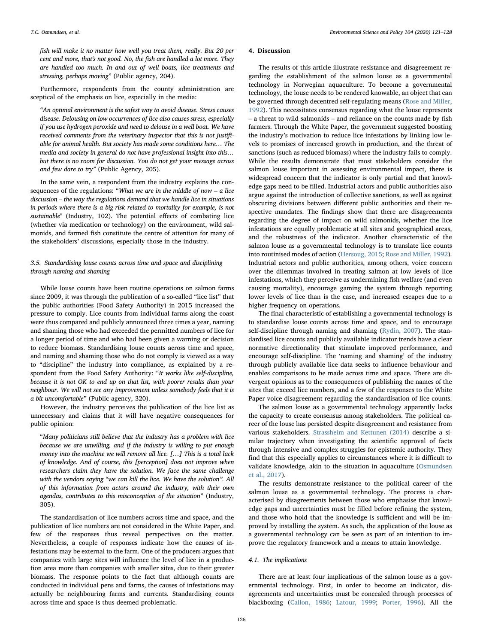fish will make it no matter how well you treat them, really. But 20 per cent and more, that's not good. No, the fish are handled a lot more. They are handled too much. In and out of well boats, lice treatments and stressing, perhaps moving" (Public agency, 204).

Furthermore, respondents from the county administration are sceptical of the emphasis on lice, especially in the media:

"An optimal environment is the safest way to avoid disease. Stress causes disease. Delousing on low occurrences of lice also causes stress, especially if you use hydrogen peroxide and need to delouse in a well boat. We have received comments from the veterinary inspector that this is not justifiable for animal health. But society has made some conditions here… The media and society in general do not have professional insight into this… but there is no room for discussion. You do not get your message across and few dare to try" (Public Agency, 205).

In the same vein, a respondent from the industry explains the consequences of the regulations: "What we are in the middle of now – a lice discussion – the way the regulations demand that we handle lice in situations in periods where there is a big risk related to mortality for example, is not sustainable" (Industry, 102). The potential effects of combating lice (whether via medication or technology) on the environment, wild salmonids, and farmed fish constitute the centre of attention for many of the stakeholders' discussions, especially those in the industry.

## 3.5. Standardising louse counts across time and space and disciplining through naming and shaming

While louse counts have been routine operations on salmon farms since 2009, it was through the publication of a so-called "lice list" that the public authorities (Food Safety Authority) in 2015 increased the pressure to comply. Lice counts from individual farms along the coast were thus compared and publicly announced three times a year, naming and shaming those who had exceeded the permitted numbers of lice for a longer period of time and who had been given a warning or decision to reduce biomass. Standardising louse counts across time and space, and naming and shaming those who do not comply is viewed as a way to "discipline" the industry into compliance, as explained by a respondent from the Food Safety Authority: "It works like self-discipline, because it is not OK to end up on that list, with poorer results than your neighbour. We will not see any improvement unless somebody feels that it is a bit uncomfortable" (Public agency, 320).

However, the industry perceives the publication of the lice list as unnecessary and claims that it will have negative consequences for public opinion:

"Many politicians still believe that the industry has a problem with lice because we are unwilling, and if the industry is willing to put enough money into the machine we will remove all lice. […] This is a total lack of knowledge. And of course, this [perception] does not improve when researchers claim they have the solution. We face the same challenge with the vendors saying "we can kill the lice. We have the solution". All of this information from actors around the industry, with their own agendas, contributes to this misconception of the situation" (Industry, 305).

The standardisation of lice numbers across time and space, and the publication of lice numbers are not considered in the White Paper, and few of the responses thus reveal perspectives on the matter. Nevertheless, a couple of responses indicate how the causes of infestations may be external to the farm. One of the producers argues that companies with large sites will influence the level of lice in a production area more than companies with smaller sites, due to their greater biomass. The response points to the fact that although counts are conducted in individual pens and farms, the causes of infestations may actually be neighbouring farms and currents. Standardising counts across time and space is thus deemed problematic.

#### 4. Discussion

The results of this article illustrate resistance and disagreement regarding the establishment of the salmon louse as a governmental technology in Norwegian aquaculture. To become a governmental technology, the louse needs to be rendered knowable, an object that can be governed through decentred self-regulating means [\(Rose and Miller,](#page-7-18) [1992\)](#page-7-18). This necessitates consensus regarding what the louse represents – a threat to wild salmonids – and reliance on the counts made by fish farmers. Through the White Paper, the government suggested boosting the industry's motivation to reduce lice infestations by linking low levels to promises of increased growth in production, and the threat of sanctions (such as reduced biomass) where the industry fails to comply. While the results demonstrate that most stakeholders consider the salmon louse important in assessing environmental impact, there is widespread concern that the indicator is only partial and that knowledge gaps need to be filled. Industrial actors and public authorities also argue against the introduction of collective sanctions, as well as against obscuring divisions between different public authorities and their respective mandates. The findings show that there are disagreements regarding the degree of impact on wild salmonids, whether the lice infestations are equally problematic at all sites and geographical areas, and the robustness of the indicator. Another characteristic of the salmon louse as a governmental technology is to translate lice counts into routinised modes of action [\(Hersoug, 2015;](#page-7-15) [Rose and Miller, 1992](#page-7-18)). Industrial actors and public authorities, among others, voice concern over the dilemmas involved in treating salmon at low levels of lice infestations, which they perceive as undermining fish welfare (and even causing mortality), encourage gaming the system through reporting lower levels of lice than is the case, and increased escapes due to a higher frequency on operations.

The final characteristic of establishing a governmental technology is to standardise louse counts across time and space, and to encourage self-discipline through naming and shaming [\(Rydin, 2007\)](#page-7-21). The standardised lice counts and publicly available indicator trends have a clear normative directionality that stimulate improved performance, and encourage self-discipline. The 'naming and shaming' of the industry through publicly available lice data seeks to influence behaviour and enables comparisons to be made across time and space. There are divergent opinions as to the consequences of publishing the names of the sites that exceed lice numbers, and a few of the responses to the White Paper voice disagreement regarding the standardisation of lice counts.

The salmon louse as a governmental technology apparently lacks the capacity to create consensus among stakeholders. The political career of the louse has persisted despite disagreement and resistance from various stakeholders. [Strassheim and Kettunen \(2014\)](#page-7-29) describe a similar trajectory when investigating the scientific approval of facts through intensive and complex struggles for epistemic authority. They find that this especially applies to circumstances where it is difficult to validate knowledge, akin to the situation in aquaculture ([Osmundsen](#page-7-2) [et al., 2017](#page-7-2)).

The results demonstrate resistance to the political career of the salmon louse as a governmental technology. The process is characterised by disagreements between those who emphasise that knowledge gaps and uncertainties must be filled before refining the system, and those who hold that the knowledge is sufficient and will be improved by installing the system. As such, the application of the louse as a governmental technology can be seen as part of an intention to improve the regulatory framework and a means to attain knowledge.

#### 4.1. The implications

There are at least four implications of the salmon louse as a governmental technology. First, in order to become an indicator, disagreements and uncertainties must be concealed through processes of blackboxing [\(Callon, 1986;](#page-7-30) [Latour, 1999;](#page-7-31) [Porter, 1996\)](#page-7-25). All the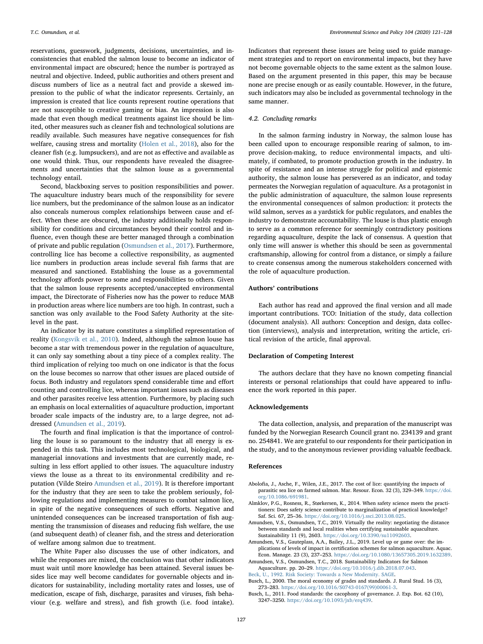reservations, guesswork, judgments, decisions, uncertainties, and inconsistencies that enabled the salmon louse to become an indicator of environmental impact are obscured; hence the number is portrayed as neutral and objective. Indeed, public authorities and others present and discuss numbers of lice as a neutral fact and provide a skewed impression to the public of what the indicator represents. Certainly, an impression is created that lice counts represent routine operations that are not susceptible to creative gaming or bias. An impression is also made that even though medical treatments against lice should be limited, other measures such as cleaner fish and technological solutions are readily available. Such measures have negative consequences for fish welfare, causing stress and mortality ([Holen et al., 2018\)](#page-7-11), also for the cleaner fish (e.g. lumpsuckers), and are not as effective and available as one would think. Thus, our respondents have revealed the disagreements and uncertainties that the salmon louse as a governmental technology entail.

Second, blackboxing serves to position responsibilities and power. The aquaculture industry bears much of the responsibility for severe lice numbers, but the predominance of the salmon louse as an indicator also conceals numerous complex relationships between cause and effect. When these are obscured, the industry additionally holds responsibility for conditions and circumstances beyond their control and influence, even though these are better managed through a combination of private and public regulation ([Osmundsen et al., 2017\)](#page-7-2). Furthermore, controlling lice has become a collective responsibility, as augmented lice numbers in production areas include several fish farms that are measured and sanctioned. Establishing the louse as a governmental technology affords power to some and responsibilities to others. Given that the salmon louse represents accepted/unaccepted environmental impact, the Directorate of Fisheries now has the power to reduce MAB in production areas where lice numbers are too high. In contrast, such a sanction was only available to the Food Safety Authority at the sitelevel in the past.

An indicator by its nature constitutes a simplified representation of reality [\(Kongsvik et al., 2010](#page-7-13)). Indeed, although the salmon louse has become a star with tremendous power in the regulation of aquaculture, it can only say something about a tiny piece of a complex reality. The third implication of relying too much on one indicator is that the focus on the louse becomes so narrow that other issues are placed outside of focus. Both industry and regulators spend considerable time and effort counting and controlling lice, whereas important issues such as diseases and other parasites receive less attention. Furthermore, by placing such an emphasis on local externalities of aquaculture production, important broader scale impacts of the industry are, to a large degree, not addressed ([Amundsen et al., 2019](#page-6-7)).

The fourth and final implication is that the importance of controlling the louse is so paramount to the industry that all energy is expended in this task. This includes most technological, biological, and managerial innovations and investments that are currently made, resulting in less effort applied to other issues. The aquaculture industry views the louse as a threat to its environmental credibility and reputation (Vilde Steiro [Amundsen et al., 2019](#page-6-7)). It is therefore important for the industry that they are seen to take the problem seriously, following regulations and implementing measures to combat salmon lice, in spite of the negative consequences of such efforts. Negative and unintended consequences can be increased transportation of fish augmenting the transmission of diseases and reducing fish welfare, the use (and subsequent death) of cleaner fish, and the stress and deterioration of welfare among salmon due to treatment.

The White Paper also discusses the use of other indicators, and while the responses are mixed, the conclusion was that other indicators must wait until more knowledge has been attained. Several issues besides lice may well become candidates for governable objects and indicators for sustainability, including mortality rates and losses, use of medication, escape of fish, discharge, parasites and viruses, fish behaviour (e.g. welfare and stress), and fish growth (i.e. food intake).

Indicators that represent these issues are being used to guide management strategies and to report on environmental impacts, but they have not become governable objects to the same extent as the salmon louse. Based on the argument presented in this paper, this may be because none are precise enough or as easily countable. However, in the future, such indicators may also be included as governmental technology in the same manner.

## 4.2. Concluding remarks

In the salmon farming industry in Norway, the salmon louse has been called upon to encourage responsible rearing of salmon, to improve decision-making, to reduce environmental impacts, and ultimately, if combated, to promote production growth in the industry. In spite of resistance and an intense struggle for political and epistemic authority, the salmon louse has persevered as an indicator, and today permeates the Norwegian regulation of aquaculture. As a protagonist in the public administration of aquaculture, the salmon louse represents the environmental consequences of salmon production: it protects the wild salmon, serves as a yardstick for public regulators, and enables the industry to demonstrate accountability. The louse is thus plastic enough to serve as a common reference for seemingly contradictory positions regarding aquaculture, despite the lack of consensus. A question that only time will answer is whether this should be seen as governmental craftsmanship, allowing for control from a distance, or simply a failure to create consensus among the numerous stakeholders concerned with the role of aquaculture production.

## Authors' contributions

Each author has read and approved the final version and all made important contributions. TCO: Initiation of the study, data collection (document analysis). All authors: Conception and design, data collection (interviews), analysis and interpretation, writing the article, critical revision of the article, final approval.

#### Declaration of Competing Interest

The authors declare that they have no known competing financial interests or personal relationships that could have appeared to influence the work reported in this paper.

### Acknowledgements

The data collection, analysis, and preparation of the manuscript was funded by the Norwegian Research Council grant no. 234139 and grant no. 254841. We are grateful to our respondents for their participation in the study, and to the anonymous reviewer providing valuable feedback.

#### References

- <span id="page-6-0"></span>Abolofia, J., Asche, F., Wilen, J.E., 2017. The cost of lice: quantifying the impacts of parasitic sea lice on farmed salmon. Mar. Resour. Econ. 32 (3), 329–349. [https://doi.](https://doi.org/10.1086/691981) [org/10.1086/691981.](https://doi.org/10.1086/691981)
- <span id="page-6-6"></span>Almklov, P.G., Rosness, R., Størkersen, K., 2014. When safety science meets the practitioners: Does safety science contribute to marginalization of practical knowledge? Saf. Sci. 67, 25–36. [https://doi.org/10.1016/j.ssci.2013.08.025.](https://doi.org/10.1016/j.ssci.2013.08.025)
- <span id="page-6-3"></span>Amundsen, V.S., Osmundsen, T.C., 2019. Virtually the reality: negotiating the distance between standards and local realities when certifying sustainable aquaculture. Sustainability 11 (9), 2603. [https://doi.org/10.3390/su11092603.](https://doi.org/10.3390/su11092603)
- <span id="page-6-7"></span>Amundsen, V.S., Gauteplass, A.A., Bailey, J.L., 2019. Level up or game over: the implications of levels of impact in certification schemes for salmon aquaculture. Aquac. Econ. Manage. 23 (3), 237–253. [https://doi.org/10.1080/13657305.2019.1632389.](https://doi.org/10.1080/13657305.2019.1632389)
- <span id="page-6-2"></span>Amundsen, V.S., Osmundsen, T.C., 2018. Sustainability Indicators for Salmon Aquaculture. pp. 20–29. [https://doi.org/10.1016/j.dib.2018.07.043.](https://doi.org/10.1016/j.dib.2018.07.043)
- <span id="page-6-1"></span>[Beck, U., 1992. Risk Society: Towards a New Modernity. SAGE](http://refhub.elsevier.com/S1462-9011(19)30315-6/sbref0030).
- <span id="page-6-4"></span>Busch, L., 2000. The moral economy of grades and standards. J. Rural Stud. 16 (3), 273–283. [https://doi.org/10.1016/S0743-0167\(99\)00061-3.](https://doi.org/10.1016/S0743-0167(99)00061-3)
- <span id="page-6-5"></span>Busch, L., 2011. Food standards: the cacophony of governance. J. Exp. Bot. 62 (10), 3247–3250. [https://doi.org/10.1093/jxb/erq439.](https://doi.org/10.1093/jxb/erq439)